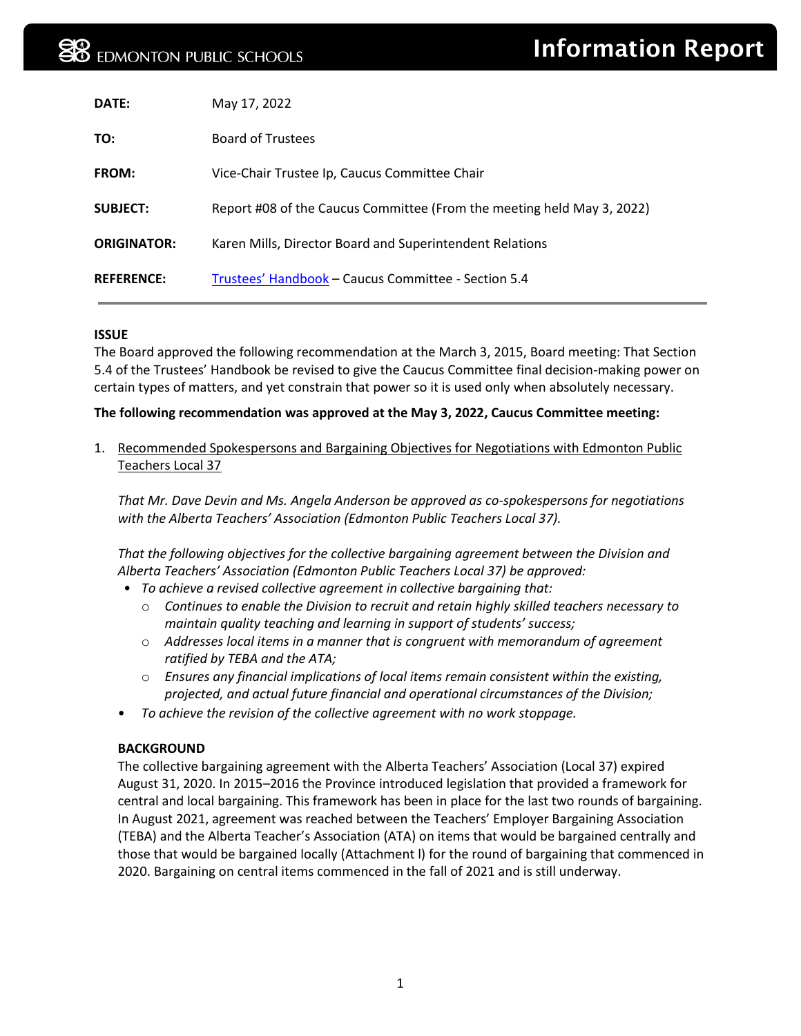| DATE:              | May 17, 2022                                                           |
|--------------------|------------------------------------------------------------------------|
| TO:                | <b>Board of Trustees</b>                                               |
| <b>FROM:</b>       | Vice-Chair Trustee Ip, Caucus Committee Chair                          |
| <b>SUBJECT:</b>    | Report #08 of the Caucus Committee (From the meeting held May 3, 2022) |
| <b>ORIGINATOR:</b> | Karen Mills, Director Board and Superintendent Relations               |
| <b>REFERENCE:</b>  | Trustees' Handbook – Caucus Committee - Section 5.4                    |

#### **ISSUE**

The Board approved the following recommendation at the March 3, 2015, Board meeting: That Section 5.4 of the Trustees' Handbook be revised to give the Caucus Committee final decision-making power on certain types of matters, and yet constrain that power so it is used only when absolutely necessary.

#### **The following recommendation was approved at the May 3, 2022, Caucus Committee meeting:**

1. Recommended Spokespersons and Bargaining Objectives for Negotiations with Edmonton Public Teachers Local 37

*That Mr. Dave Devin and Ms. Angela Anderson be approved as co-spokespersons for negotiations with the Alberta Teachers' Association (Edmonton Public Teachers Local 37).* 

*That the following objectives for the collective bargaining agreement between the Division and Alberta Teachers' Association (Edmonton Public Teachers Local 37) be approved:* 

- *To achieve a revised collective agreement in collective bargaining that:* 
	- o *Continues to enable the Division to recruit and retain highly skilled teachers necessary to maintain quality teaching and learning in support of students' success;*
	- o *Addresses local items in a manner that is congruent with memorandum of agreement ratified by TEBA and the ATA;*
	- o *Ensures any financial implications of local items remain consistent within the existing, projected, and actual future financial and operational circumstances of the Division;*
- *To achieve the revision of the collective agreement with no work stoppage.*

#### **BACKGROUND**

The collective bargaining agreement with the Alberta Teachers' Association (Local 37) expired August 31, 2020. In 2015–2016 the Province introduced legislation that provided a framework for central and local bargaining. This framework has been in place for the last two rounds of bargaining. In August 2021, agreement was reached between the Teachers' Employer Bargaining Association (TEBA) and the Alberta Teacher's Association (ATA) on items that would be bargained centrally and those that would be bargained locally (Attachment l) for the round of bargaining that commenced in 2020. Bargaining on central items commenced in the fall of 2021 and is still underway.